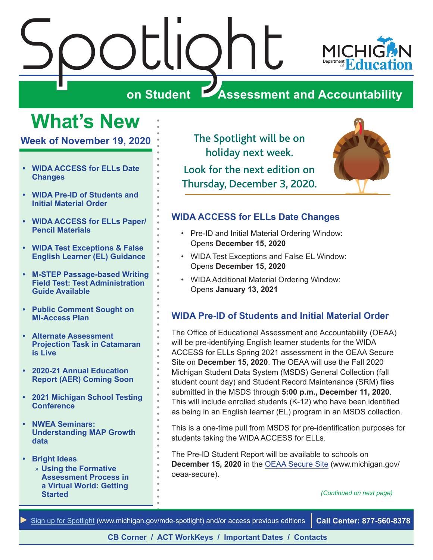<span id="page-0-0"></span>



## **OBSESSMENT ASSESSMENT AND ACCOUNTABIlity**

## **What's New**

**Week of November 19, 2020**

- **• WIDA ACCESS for ELLs Date Changes**
- **• WIDA Pre-ID of Students and Initial Material Order**
- **• [WIDA ACCESS for ELLs Paper/](#page-2-0) [Pencil Materials](#page-2-0)**
- **• [WIDA Test Exceptions & False](#page-2-0)  [English Learner \(EL\) Guidance](#page-2-0)**
- **• [M-STEP Passage-based Writing](#page-3-0)  [Field Test: Test Administration](#page-3-0)  [Guide Available](#page-3-0)**
- **• [Public Comment Sought on](#page-3-0)  [MI-Access Plan](#page-3-0)**
- **• [Alternate Assessment](#page-4-0)  [Projection Task in Catamaran](#page-4-0)  [is Live](#page-4-0)**
- **• [2020-21 Annual Education](#page-4-0)  [Report \(AER\) Coming Soon](#page-4-0)**
- **• [2021 Michigan School Testing](#page-5-0)  [Conference](#page-5-0)**
- **• [NWEA Seminars:](#page-5-0)  [Understanding MAP Growth](#page-5-0)  [data](#page-5-0)**
- **• Bright Ideas** » **[Using the Formative](#page-6-0)  [Assessment Process in](#page-6-0)  [a Virtual World: Getting](#page-6-0)  [Started](#page-6-0)**

The Spotlight will be on holiday next week. Look for the next edition on Thursday, December 3, 2020.



## **WIDA ACCESS for ELLs Date Changes**

- Pre-ID and Initial Material Ordering Window: Opens **December 15, 2020**
- WIDA Test Exceptions and False EL Window: Opens **December 15, 2020**
- WIDA Additional Material Ordering Window: Opens **January 13, 2021**

## **WIDA Pre-ID of Students and Initial Material Order**

The Office of Educational Assessment and Accountability (OEAA) will be pre-identifying English learner students for the WIDA ACCESS for ELLs Spring 2021 assessment in the OEAA Secure Site on **December 15, 2020**. The OEAA will use the Fall 2020 Michigan Student Data System (MSDS) General Collection (fall student count day) and Student Record Maintenance (SRM) files submitted in the MSDS through **5:00 p.m., December 11, 2020**. This will include enrolled students (K-12) who have been identified as being in an English learner (EL) program in an MSDS collection.

This is a one-time pull from MSDS for pre-identification purposes for students taking the WIDA ACCESS for ELLs.

The Pre-ID Student Report will be available to schools on **December 15, 2020** in the [OEAA Secure Site](http://www.michigan.gov/oeaa-secure) (www.michigan.gov/ oeaa-secure).

*(Continued on next page)*

*►* [Sign up for Spotlight](https://public.govdelivery.com/accounts/MIMDE/subscriber/new) ([www.michigan.gov/mde](www.michigan.gov/mde-spotlight)-spotlight) and/or access previous editions **Call Center: 877-560-8378**

### **[CB Corner](#page-8-0) / [ACT WorkKeys](#page-9-0) / [Important Dates](#page-11-0) / [Contacts](#page-13-0)**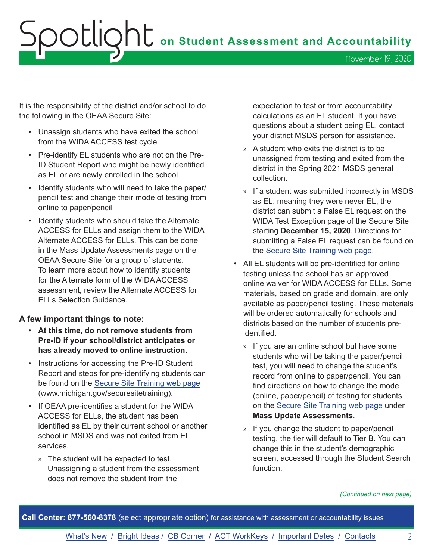It is the responsibility of the district and/or school to do the following in the OEAA Secure Site:

- Unassign students who have exited the school from the WIDA ACCESS test cycle
- Pre-identify EL students who are not on the Pre-ID Student Report who might be newly identified as EL or are newly enrolled in the school
- Identify students who will need to take the paper/ pencil test and change their mode of testing from online to paper/pencil
- Identify students who should take the Alternate ACCESS for ELLs and assign them to the WIDA Alternate ACCESS for ELLs. This can be done in the Mass Update Assessments page on the OEAA Secure Site for a group of students. To learn more about how to identify students for the Alternate form of the WIDA ACCESS assessment, review the Alternate ACCESS for ELLs Selection Guidance.

## **A few important things to note:**

- **At this time, do not remove students from Pre-ID if your school/district anticipates or has already moved to online instruction.**
- Instructions for accessing the Pre-ID Student Report and steps for pre-identifying students can be found on the [Secure Site Training web page](http://www.michigan.gov/securesitetraining) (www.michigan.gov/securesitetraining).
- If OEAA pre-identifies a student for the WIDA ACCESS for ELLs, the student has been identified as EL by their current school or another school in MSDS and was not exited from EL services.
	- » The student will be expected to test. Unassigning a student from the assessment does not remove the student from the

expectation to test or from accountability calculations as an EL student. If you have questions about a student being EL, contact your district MSDS person for assistance.

- » A student who exits the district is to be unassigned from testing and exited from the district in the Spring 2021 MSDS general collection.
- » If a student was submitted incorrectly in MSDS as EL, meaning they were never EL, the district can submit a False EL request on the WIDA Test Exception page of the Secure Site starting **December 15, 2020**. Directions for submitting a False EL request can be found on the [Secure Site Training web page.](http://www.michigan.gov/securesitetraining)
- All EL students will be pre-identified for online testing unless the school has an approved online waiver for WIDA ACCESS for ELLs. Some materials, based on grade and domain, are only available as paper/pencil testing. These materials will be ordered automatically for schools and districts based on the number of students preidentified.
	- » If you are an online school but have some students who will be taking the paper/pencil test, you will need to change the student's record from online to paper/pencil. You can find directions on how to change the mode (online, paper/pencil) of testing for students on the [Secure Site Training web page](http://www.michigan.gov/securesitetraining) under **Mass Update Assessments**.
	- » If you change the student to paper/pencil testing, the tier will default to Tier B. You can change this in the student's demographic screen, accessed through the Student Search function.

*(Continued on next page)*

**Call Center: 877-560-8378** (select appropriate option) for assistance with assessment or accountability issues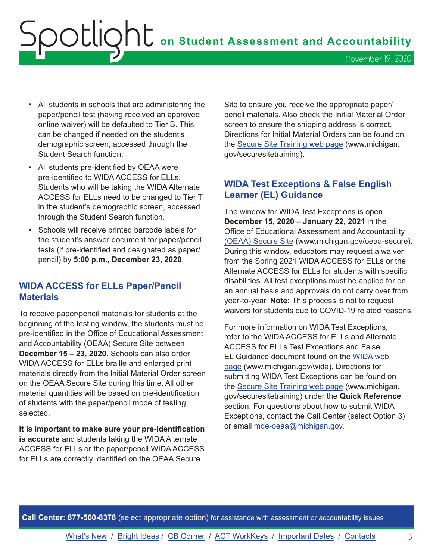- <span id="page-2-0"></span>• All students in schools that are administering the paper/pencil test (having received an approved online waiver) will be defaulted to Tier B. This can be changed if needed on the student's demographic screen, accessed through the Student Search function.
- All students pre-identified by OEAA were pre-identified to WIDA ACCESS for ELLs. Students who will be taking the WIDA Alternate ACCESS for ELLs need to be changed to Tier T in the student's demographic screen, accessed through the Student Search function.
- Schools will receive printed barcode labels for the student's answer document for paper/pencil tests (if pre-identified and designated as paper/ pencil) by **5:00 p.m., December 23, 2020**.

## **WIDA ACCESS for ELLs Paper/Pencil Materials**

To receive paper/pencil materials for students at the beginning of the testing window, the students must be pre-identified in the Office of Educational Assessment and Accountability (OEAA) Secure Site between **December 15 – 23, 2020**. Schools can also order WIDA ACCESS for ELLs braille and enlarged print materials directly from the Initial Material Order screen on the OEAA Secure Site during this time. All other material quantities will be based on pre-identification of students with the paper/pencil mode of testing selected.

**It is important to make sure your pre-identification is accurate** and students taking the WIDA Alternate ACCESS for ELLs or the paper/pencil WIDA ACCESS for ELLs are correctly identified on the OEAA Secure

Site to ensure you receive the appropriate paper/ pencil materials. Also check the Initial Material Order screen to ensure the shipping address is correct. Directions for Initial Material Orders can be found on the [Secure Site Training web page](http://www.michigan.gov/securesitetraining) (www.michigan. gov/securesitetraining).

## **WIDA Test Exceptions & False English Learner (EL) Guidance**

The window for WIDA Test Exceptions is open **December 15, 2020** – **January 22, 2021** in the Office of Educational Assessment and Accountability [\(OEAA\) Secure Site](http://www.michigan.gov/oeaa-secure) (www.michigan.gov/oeaa-secure). During this window, educators may request a waiver from the Spring 2021 WIDA ACCESS for ELLs or the Alternate ACCESS for ELLs for students with specific disabilities. All test exceptions must be applied for on an annual basis and approvals do not carry over from year-to-year. **Note:** This process is not to request waivers for students due to COVID-19 related reasons.

For more information on WIDA Test Exceptions, refer to the WIDA ACCESS for ELLs and Alternate ACCESS for ELLs Test Exceptions and False EL Guidance document found on the [WIDA web](www.michigan.gov/wida)  [page](www.michigan.gov/wida) (www.michigan.gov/wida). Directions for submitting WIDA Test Exceptions can be found on the [Secure Site Training web page](http://www.michigan.gov/securesitetraining) (www.michigan. gov/securesitetraining) under the **Quick Reference** section. For questions about how to submit WIDA Exceptions, contact the Call Center (select Option 3) or email [mde-oeaa@michigan.gov](mailto:mde-oeaa%40michigan.gov?subject=).

**Call Center: 877-560-8378** (select appropriate option) for assistance with assessment or accountability issues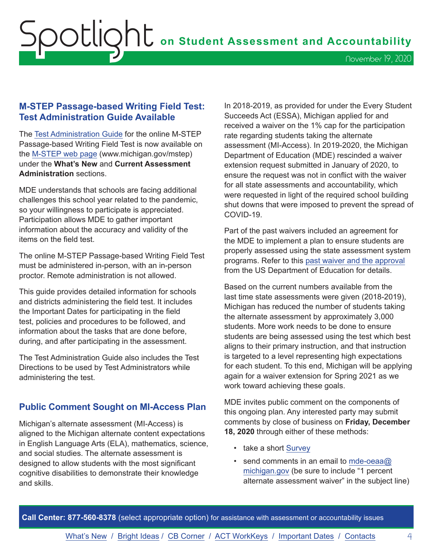## <span id="page-3-0"></span>**M-STEP Passage-based Writing Field Test: Test Administration Guide Available**

The [Test Administration Guide](https://www.michigan.gov/documents/mde/Passage-Based_Writing_Field_Test_TAG_708250_7.pdf) for the online M-STEP Passage-based Writing Field Test is now available on the [M-STEP web page](www.michigan.gov/mstep) (www.michigan.gov/mstep) under the **What's New** and **Current Assessment Administration** sections.

MDE understands that schools are facing additional challenges this school year related to the pandemic, so your willingness to participate is appreciated. Participation allows MDE to gather important information about the accuracy and validity of the items on the field test.

The online M-STEP Passage-based Writing Field Test must be administered in-person, with an in-person proctor. Remote administration is not allowed.

This guide provides detailed information for schools and districts administering the field test. It includes the Important Dates for participating in the field test, policies and procedures to be followed, and information about the tasks that are done before, during, and after participating in the assessment.

The Test Administration Guide also includes the Test Directions to be used by Test Administrators while administering the test.

## **Public Comment Sought on MI-Access Plan**

Michigan's alternate assessment (MI-Access) is aligned to the Michigan alternate content expectations in English Language Arts (ELA), mathematics, science, and social studies. The alternate assessment is designed to allow students with the most significant cognitive disabilities to demonstrate their knowledge and skills.

In 2018-2019, as provided for under the Every Student Succeeds Act (ESSA), Michigan applied for and received a waiver on the 1% cap for the participation rate regarding students taking the alternate assessment (MI-Access). In 2019-2020, the Michigan Department of Education (MDE) rescinded a waiver extension request submitted in January of 2020, to ensure the request was not in conflict with the waiver for all state assessments and accountability, which were requested in light of the required school building shut downs that were imposed to prevent the spread of COVID-19.

Part of the past waivers included an agreement for the MDE to implement a plan to ensure students are properly assessed using the state assessment system programs. Refer to this [past waiver and the approval](https://www.michigan.gov/documents/mde/1_Cap_Waiver_renewal_request_and_approval_2018-_2019_652598_7.pdf) from the US Department of Education for details.

Based on the current numbers available from the last time state assessments were given (2018-2019), Michigan has reduced the number of students taking the alternate assessment by approximately 3,000 students. More work needs to be done to ensure students are being assessed using the test which best aligns to their primary instruction, and that instruction is targeted to a level representing high expectations for each student. To this end, Michigan will be applying again for a waiver extension for Spring 2021 as we work toward achieving these goals.

MDE invites public comment on the components of this ongoing plan. Any interested party may submit comments by close of business on **Friday, December 18, 2020** through either of these methods:

- take a short [Survey](https://www.surveymonkey.com/r/1Pnct_Waiv_PC_2021)
- send comments in an email to [mde-oeaa@](mailto:mde-oeaa%40michigan.gov?subject=1%20percent%20alternate%20assessment%20waiver) [michigan.gov](mailto:mde-oeaa%40michigan.gov?subject=1%20percent%20alternate%20assessment%20waiver) (be sure to include "1 percent alternate assessment waiver" in the subject line)

**Call Center: 877-560-8378** (select appropriate option) for assistance with assessment or accountability issues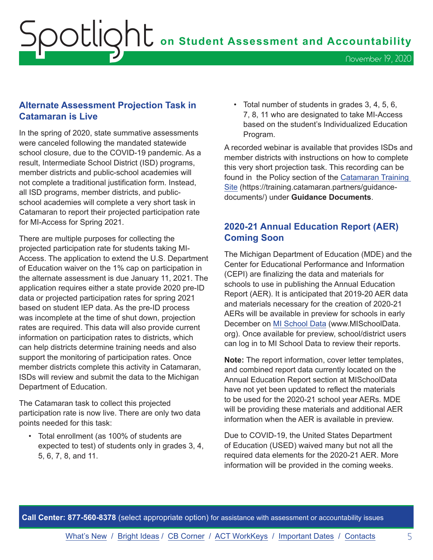<span id="page-4-0"></span>Spotlight **on Student Assessment and Accountability**

## **Alternate Assessment Projection Task in Catamaran is Live**

In the spring of 2020, state summative assessments were canceled following the mandated statewide school closure, due to the COVID-19 pandemic. As a result, Intermediate School District (ISD) programs, member districts and public-school academies will not complete a traditional justification form. Instead, all ISD programs, member districts, and publicschool academies will complete a very short task in Catamaran to report their projected participation rate for MI-Access for Spring 2021.

There are multiple purposes for collecting the projected participation rate for students taking MI-Access. The application to extend the U.S. Department of Education waiver on the 1% cap on participation in the alternate assessment is due January 11, 2021. The application requires either a state provide 2020 pre-ID data or projected participation rates for spring 2021 based on student IEP data. As the pre-ID process was incomplete at the time of shut down, projection rates are required. This data will also provide current information on participation rates to districts, which can help districts determine training needs and also support the monitoring of participation rates. Once member districts complete this activity in Catamaran, ISDs will review and submit the data to the Michigan Department of Education.

The Catamaran task to collect this projected participation rate is now live. There are only two data points needed for this task:

• Total enrollment (as 100% of students are expected to test) of students only in grades 3, 4, 5, 6, 7, 8, and 11.

• Total number of students in grades 3, 4, 5, 6, 7, 8, 11 who are designated to take MI-Access based on the student's Individualized Education Program.

A recorded webinar is available that provides ISDs and member districts with instructions on how to complete this very short projection task. This recording can be found in the Policy section of the [Catamaran Training](https://training.catamaran.partners/guidance-documents/)  [Site](https://training.catamaran.partners/guidance-documents/) (https://training.catamaran.partners/guidancedocuments/) under **Guidance Documents**.

## **2020-21 Annual Education Report (AER) Coming Soon**

The Michigan Department of Education (MDE) and the Center for Educational Performance and Information (CEPI) are finalizing the data and materials for schools to use in publishing the Annual Education Report (AER). It is anticipated that 2019-20 AER data and materials necessary for the creation of 2020-21 AERs will be available in preview for schools in early December on [MI School Data](https://www.mischooldata.org/) (www.MISchoolData. org). Once available for preview, school/district users can log in to MI School Data to review their reports.

**Note:** The report information, cover letter templates, and combined report data currently located on the Annual Education Report section at MISchoolData have not yet been updated to reflect the materials to be used for the 2020-21 school year AERs. MDE will be providing these materials and additional AER information when the AER is available in preview.

Due to COVID-19, the United States Department of Education (USED) waived many but not all the required data elements for the 2020-21 AER. More information will be provided in the coming weeks.

**Call Center: 877-560-8378** (select appropriate option) for assistance with assessment or accountability issues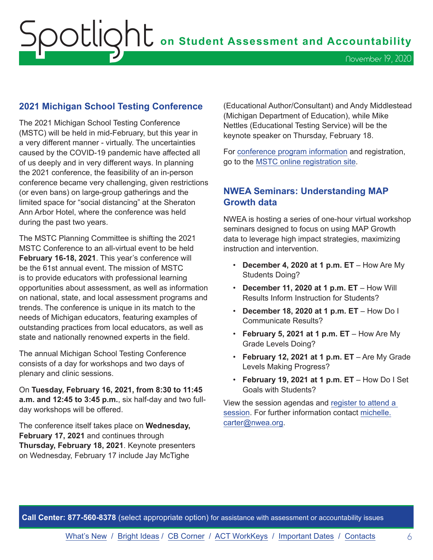## <span id="page-5-0"></span>**2021 Michigan School Testing Conference**

The 2021 Michigan School Testing Conference (MSTC) will be held in mid-February, but this year in a very different manner - virtually. The uncertainties caused by the COVID-19 pandemic have affected all of us deeply and in very different ways. In planning the 2021 conference, the feasibility of an in-person conference became very challenging, given restrictions (or even bans) on large-group gatherings and the limited space for "social distancing" at the Sheraton Ann Arbor Hotel, where the conference was held during the past two years.

The MSTC Planning Committee is shifting the 2021 MSTC Conference to an all-virtual event to be held **February 16-18, 2021**. This year's conference will be the 61st annual event. The mission of MSTC is to provide educators with professional learning opportunities about assessment, as well as information on national, state, and local assessment programs and trends. The conference is unique in its match to the needs of Michigan educators, featuring examples of outstanding practices from local educators, as well as state and nationally renowned experts in the field.

The annual Michigan School Testing Conference consists of a day for workshops and two days of plenary and clinic sessions.

On **Tuesday, February 16, 2021, from 8:30 to 11:45 a.m. and 12:45 to 3:45 p.m.**, six half-day and two fullday workshops will be offered.

The conference itself takes place on **Wednesday, February 17, 2021** and continues through **Thursday, February 18, 2021**. Keynote presenters on Wednesday, February 17 include Jay McTighe

(Educational Author/Consultant) and Andy Middlestead (Michigan Department of Education), while Mike Nettles (Educational Testing Service) will be the keynote speaker on Thursday, February 18.

For [conference program information](http://gomasa.org/wp-content/uploads/mstcPromo2021.pdf) and registration, go to the [MSTC online registration site](http://gomasa.org/mstc2021).

## **NWEA Seminars: Understanding MAP Growth data**

NWEA is hosting a series of one-hour virtual workshop seminars designed to focus on using MAP Growth data to leverage high impact strategies, maximizing instruction and intervention.

- **December 4, 2020 at 1 p.m. ET** How Are My Students Doing?
- **December 11, 2020 at 1 p.m. ET** How Will Results Inform Instruction for Students?
- **December 18, 2020 at 1 p.m. ET** How Do I Communicate Results?
- **February 5, 2021 at 1 p.m. ET** How Are My Grade Levels Doing?
- **February 12, 2021 at 1 p.m. ET** Are My Grade Levels Making Progress?
- **February 19, 2021 at 1 p.m. ET** How Do I Set Goals with Students?

View the session agendas and [register to attend a](https://www.cvent.com/events/understanding-map-growth-data-seminars/event-summary-d8b858635dd4467696017319df234a11.aspx?mkt_tok=eyJpIjoiTVRreE5USTNOVE0zTVRneiIsInQiOiJHMll2d3lcLzE0OXhiNGFJaE9uSkYw)  [session](https://www.cvent.com/events/understanding-map-growth-data-seminars/event-summary-d8b858635dd4467696017319df234a11.aspx?mkt_tok=eyJpIjoiTVRreE5USTNOVE0zTVRneiIsInQiOiJHMll2d3lcLzE0OXhiNGFJaE9uSkYw). For further information contact [michelle.](mailto:michelle.carter%40nwea.org?subject=) [carter@nwea.org.](mailto:michelle.carter%40nwea.org?subject=)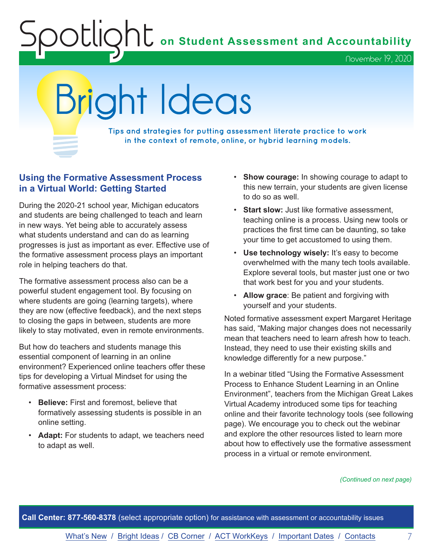**Shows** on Student Assessment and Accountability

November 19, 2020

# <span id="page-6-0"></span>Bright Ideas

**Tips and strategies for putting assessment literate practice to work in the context of remote, online, or hybrid learning models.**

## **Using the Formative Assessment Process in a Virtual World: Getting Started**

During the 2020-21 school year, Michigan educators and students are being challenged to teach and learn in new ways. Yet being able to accurately assess what students understand and can do as learning progresses is just as important as ever. Effective use of the formative assessment process plays an important role in helping teachers do that.

The formative assessment process also can be a powerful student engagement tool. By focusing on where students are going (learning targets), where they are now (effective feedback), and the next steps to closing the gaps in between, students are more likely to stay motivated, even in remote environments.

But how do teachers and students manage this essential component of learning in an online environment? Experienced online teachers offer these tips for developing a Virtual Mindset for using the formative assessment process:

- **Believe:** First and foremost, believe that formatively assessing students is possible in an online setting.
- **Adapt:** For students to adapt, we teachers need to adapt as well.
- **Show courage:** In showing courage to adapt to this new terrain, your students are given license to do so as well.
- **Start slow:** Just like formative assessment, teaching online is a process. Using new tools or practices the first time can be daunting, so take your time to get accustomed to using them.
- **Use technology wisely:** It's easy to become overwhelmed with the many tech tools available. Explore several tools, but master just one or two that work best for you and your students.
- **Allow grace**: Be patient and forgiving with yourself and your students.

Noted formative assessment expert Margaret Heritage has said, "Making major changes does not necessarily mean that teachers need to learn afresh how to teach. Instead, they need to use their existing skills and knowledge differently for a new purpose."

In a webinar titled "Using the Formative Assessment Process to Enhance Student Learning in an Online Environment", teachers from the Michigan Great Lakes Virtual Academy introduced some tips for teaching online and their favorite technology tools (see following page). We encourage you to check out the webinar and explore the other resources listed to learn more about how to effectively use the formative assessment process in a virtual or remote environment.

#### *(Continued on next page)*

**Call Center: 877-560-8378** (select appropriate option) for assistance with assessment or accountability issues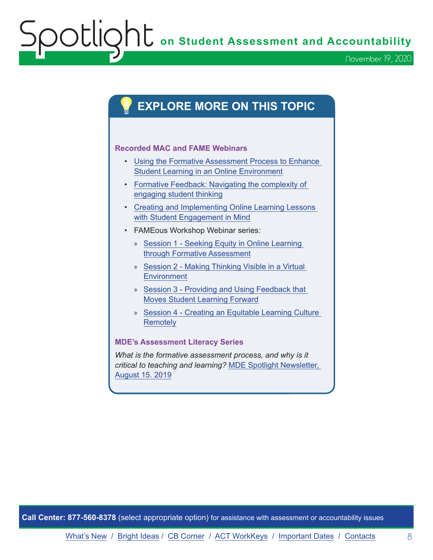OOCLIQhC on Student Assessment and Accountability

November 19, 2020

## **EXPLORE MORE ON THIS TOPIC**

#### **Recorded MAC and FAME Webinars**

- [Using the Formative Assessment Process to Enhance](https://www.michiganassessmentconsortium.org/event/using-the-formative-assessment-process-to-enhance-student-learning-in-an-online-environment-getting-started/)  [Student Learning in an Online Environment](https://www.michiganassessmentconsortium.org/event/using-the-formative-assessment-process-to-enhance-student-learning-in-an-online-environment-getting-started/)
- [Formative Feedback: Navigating the complexity of](https://www.michiganassessmentconsortium.org/event/navigating-the-complexity-of-engaging-student-thinking-using-the-formative-assessment-process-to-enhance-student-learning-in-an-online-environment)  [engaging student thinking](https://www.michiganassessmentconsortium.org/event/navigating-the-complexity-of-engaging-student-thinking-using-the-formative-assessment-process-to-enhance-student-learning-in-an-online-environment)
- [Creating and Implementing Online Learning Lessons](https://www.michiganassessmentconsortium.org/event/creating-and-implementing-online-learning-lessons-with-student-engagement-in-mind)  [with Student Engagement in Mind](https://www.michiganassessmentconsortium.org/event/creating-and-implementing-online-learning-lessons-with-student-engagement-in-mind)
- FAMEous Workshop Webinar series:
	- » [Session 1 Seeking Equity in Online Learning](https://vimeo.com/436539030/1d3022e62e)  [through Formative Assessment](https://vimeo.com/436539030/1d3022e62e)
	- » [Session 2 Making Thinking Visible in a Virtual](https://vimeo.com/438691673/31c1724b9a)  **[Environment](https://vimeo.com/438691673/31c1724b9a)**
	- » [Session 3 Providing and Using Feedback that](https://vimeo.com/440768533/c670cd9957)  [Moves Student Learning Forward](https://vimeo.com/440768533/c670cd9957)
	- » [Session 4 Creating an Equitable Learning Culture](https://vimeo.com/442813718/cc080ba189)  **[Remotely](https://vimeo.com/442813718/cc080ba189)**

#### **MDE's Assessment Literacy Series**

*What is the formative assessment process, and why is it critical to teaching and learning?* [MDE Spotlight Newsletter,](https://www.michigan.gov/documents/mde/Spotlight_8-15-19_663485_7.pdf)  [August 15. 2019](https://www.michigan.gov/documents/mde/Spotlight_8-15-19_663485_7.pdf)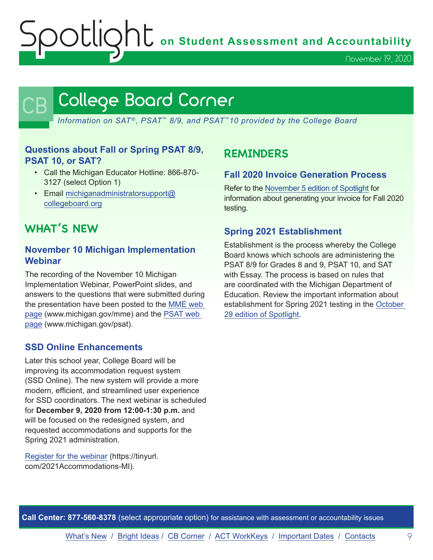OUIQhU on Student Assessment and Accountability

November 19, 2020

## <span id="page-8-0"></span>College Board Corner

*Information on SAT*®*, PSAT*™ *8/9, and PSAT*™*10 provided by the College Board*

## **Questions about Fall or Spring PSAT 8/9, PSAT 10, or SAT?**

- Call the Michigan Educator Hotline: 866-870- 3127 (select Option 1)
- Email [michiganadministratorsupport@](mailto:michiganadministratorsupport%40collegeboard.org?subject=) [collegeboard.org](mailto:michiganadministratorsupport%40collegeboard.org?subject=)

## **WHAT'S NEW**

## **November 10 Michigan Implementation Webinar**

The recording of the November 10 Michigan Implementation Webinar, PowerPoint slides, and answers to the questions that were submitted during the presentation have been posted to the [MME web](www.michigan.gov/mme)  [page](www.michigan.gov/mme) (www.michigan.gov/mme) and the [PSAT web](http://www.michigan.gov/psat)  [page](http://www.michigan.gov/psat) (www.michigan.gov/psat).

### **SSD Online Enhancements**

Later this school year, College Board will be improving its accommodation request system (SSD Online). The new system will provide a more modern, efficient, and streamlined user experience for SSD coordinators. The next webinar is scheduled for **December 9, 2020 from 12:00-1:30 p.m.** and will be focused on the redesigned system, and requested accommodations and supports for the Spring 2021 administration.

[Register for the webinar](https://tinyurl.com/2021Accommodations-MI) (https://tinyurl. com/2021Accommodations-MI).

## **REMINDERS**

## **Fall 2020 Invoice Generation Process**

Refer to the [November 5 edition of Spotlight](https://www.michigan.gov/documents/mde/Spotlight_11-05-20_707044_7.pdf) for information about generating your invoice for Fall 2020 testing.

### **Spring 2021 Establishment**

Establishment is the process whereby the College Board knows which schools are administering the PSAT 8/9 for Grades 8 and 9, PSAT 10, and SAT with Essay. The process is based on rules that are coordinated with the Michigan Department of Education. Review the important information about establishment for Spring 2021 testing in the [October](https://www.michigan.gov/documents/mde/Spotlight_10-29-20_706526_7.pdf)  [29 edition of Spotlight.](https://www.michigan.gov/documents/mde/Spotlight_10-29-20_706526_7.pdf)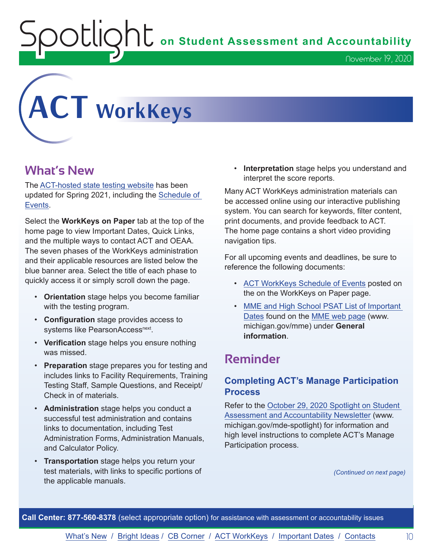OUIQhL on Student Assessment and Accountability

<span id="page-9-0"></span>

## **What's New**

The [ACT-hosted state testing website](http://www.act.org/content/act/en/products-and-services/state-and-district-solutions/michigan.html) has been updated for Spring 2021, including the [Schedule of](https://content.act.org/michigan/reader/QvOmVKFL9Yw0c_sitVNlXA/urb67ck4C1ph7SNsFsEoaA)  [Events.](https://content.act.org/michigan/reader/QvOmVKFL9Yw0c_sitVNlXA/urb67ck4C1ph7SNsFsEoaA)

Select the **WorkKeys on Paper** tab at the top of the home page to view Important Dates, Quick Links, and the multiple ways to contact ACT and OEAA. The seven phases of the WorkKeys administration and their applicable resources are listed below the blue banner area. Select the title of each phase to quickly access it or simply scroll down the page.

- **Orientation** stage helps you become familiar with the testing program.
- **Configuration** stage provides access to systems like PearsonAccess<sup>next</sup>.
- **Verification** stage helps you ensure nothing was missed.
- **Preparation** stage prepares you for testing and includes links to Facility Requirements, Training Testing Staff, Sample Questions, and Receipt/ Check in of materials.
- **Administration** stage helps you conduct a successful test administration and contains links to documentation, including Test Administration Forms, Administration Manuals, and Calculator Policy.
- **Transportation** stage helps you return your test materials, with links to specific portions of the applicable manuals.

• **Interpretation** stage helps you understand and interpret the score reports.

Many ACT WorkKeys administration materials can be accessed online using our interactive publishing system. You can search for keywords, filter content, print documents, and provide feedback to ACT. The home page contains a short video providing navigation tips.

For all upcoming events and deadlines, be sure to reference the following documents:

- [ACT WorkKeys Schedule of Events](https://content.act.org/michigan/reader/QvOmVKFL9Yw0c_sitVNlXA/urb67ck4C1ph7SNsFsEoaA) posted on the on the WorkKeys on Paper page.
- MME and High School PSAT List of Important [Dates](https://www.michigan.gov/mde/0,4615,7-140-22709_35150-544814--,00.html) found on the [MME web page](www.michigan.gov/mme) (www. michigan.gov/mme) under **General information**.

## **Reminder**

## **Completing ACT's Manage Participation Process**

Refer to the [October 29, 2020 Spotlight on Student](https://www.michigan.gov/documents/mde/Spotlight_10-29-20_706526_7.pdf)  [Assessment and Accountability Newsletter](https://www.michigan.gov/documents/mde/Spotlight_10-29-20_706526_7.pdf) (www. michigan.gov/mde-spotlight) for information and high level instructions to complete ACT's Manage Participation process.

*(Continued on next page)*

**Call Center: 877-560-8378** (select appropriate option) for assistance with assessment or accountability issues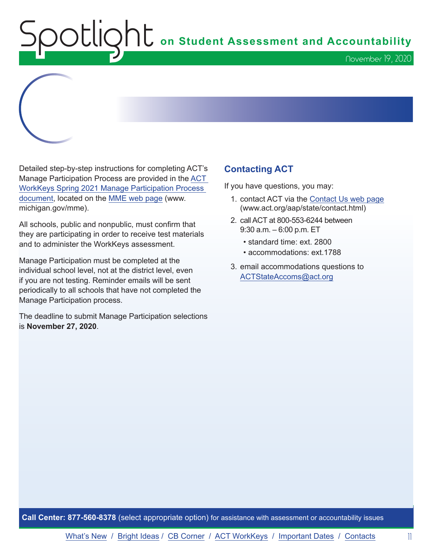

Detailed step-by-step instructions for completing ACT's Manage Participation Process are provided in the [ACT](https://www.michigan.gov/documents/mde/ACT_WorkKeys_Spring_2021_Manage_Participation_Guide_706807_7.pdf)  [WorkKeys Spring 2021 Manage Participation Process](https://www.michigan.gov/documents/mde/ACT_WorkKeys_Spring_2021_Manage_Participation_Guide_706807_7.pdf)  [document](https://www.michigan.gov/documents/mde/ACT_WorkKeys_Spring_2021_Manage_Participation_Guide_706807_7.pdf), located on the [MME web page](www.michigan.gov/mme) (www. michigan.gov/mme).

All schools, public and nonpublic, must confirm that they are participating in order to receive test materials and to administer the WorkKeys assessment.

Manage Participation must be completed at the individual school level, not at the district level, even if you are not testing. Reminder emails will be sent periodically to all schools that have not completed the Manage Participation process.

The deadline to submit Manage Participation selections is **November 27, 2020**.

## **Contacting ACT**

If you have questions, you may:

- 1. contact ACT via the [Contact Us web page](http://www.act.org/aap/state/contact.html) [\(www.act.org/aap/state/contact.html\)](https://www.act.org/aap/state/contact.html)
- 2. call ACT at 800-553-6244 between 9:30 a.m. – 6:00 p.m. ET
	- standard time: ext. 2800
	- accommodations: ext.1788
- 3. email accommodations questions to [ACTStateAccoms@act.org](mailto:ACTStateAccoms%40act.org?subject=)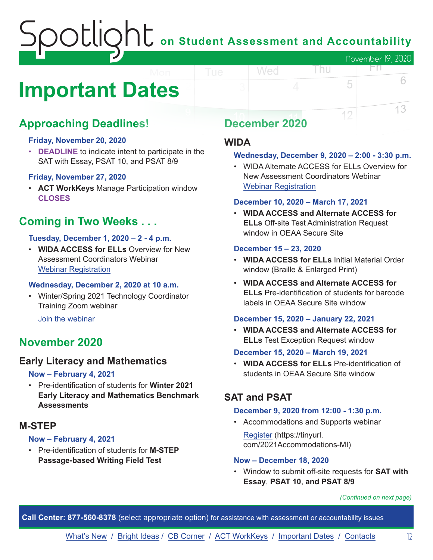## on Student Assessment and Accountability November 19, 2020 FП

## <span id="page-11-0"></span>**Important Dates**

## **Approaching Deadlines!**

## **Friday, November 20, 2020**

• **DEADLINE** to indicate intent to participate in the SAT with Essay, PSAT 10, and PSAT 8/9

## **Friday, November 27, 2020**

• **ACT WorkKeys** Manage Participation window **CLOSES**

## **Coming in Two Weeks . . .**

## **Tuesday, December 1, 2020 – 2 - 4 p.m.**

• **WIDA ACCESS for ELLs** Overview for New Assessment Coordinators Webinar [Webinar Registration](https://fall_2020_wida_access_for_ells_overview_webinar.eventbrite.com)

### **Wednesday, December 2, 2020 at 10 a.m.**

• Winter/Spring 2021 Technology Coordinator Training Zoom webinar

[Join the webinar](https://datarecognitioncorp.zoom.us/j/99441419689)

## **November 2020**

## **Early Literacy and Mathematics**

### **Now – February 4, 2021**

• Pre-identification of students for **Winter 2021 Early Literacy and Mathematics Benchmark Assessments**

## **M-STEP**

### **Now – February 4, 2021**

• Pre-identification of students for **M-STEP Passage-based Writing Field Test**

## **December 2020**

Wed

## **WIDA**

#### **Wednesday, December 9, 2020 – 2:00 - 3:30 p.m.**

l nu

5

12

6

13

• WIDA Alternate ACCESS for ELLs Overview for New Assessment Coordinators Webinar [Webinar Registration](https://fall_2020_wida_alternate_access_for_ells_overview.eventbrite.com)

#### **December 10, 2020 – March 17, 2021**

• **WIDA ACCESS and Alternate ACCESS for ELLs** Off-site Test Administration Request window in OEAA Secure Site

#### **December 15 – 23, 2020**

- **WIDA ACCESS for ELLs** Initial Material Order window (Braille & Enlarged Print)
- **WIDA ACCESS and Alternate ACCESS for ELLs** Pre-identification of students for barcode labels in OEAA Secure Site window

### **December 15, 2020 – January 22, 2021**

• **WIDA ACCESS and Alternate ACCESS for ELLs** Test Exception Request window

### **December 15, 2020 – March 19, 2021**

• **WIDA ACCESS for ELLs** Pre-identification of students in OEAA Secure Site window

## **SAT and PSAT**

#### **December 9, 2020 from 12:00 - 1:30 p.m.**

• Accommodations and Supports webinar [Register](https://tinyurl.com/2021Accommodations-MI) (https://tinyurl.

com/2021Accommodations-MI)

#### **Now – December 18, 2020**

• Window to submit off-site requests for **SAT with Essay**, **PSAT 10**, **and PSAT 8/9**

*(Continued on next page)*

**Call Center: 877-560-8378** (select appropriate option) for assistance with assessment or accountability issues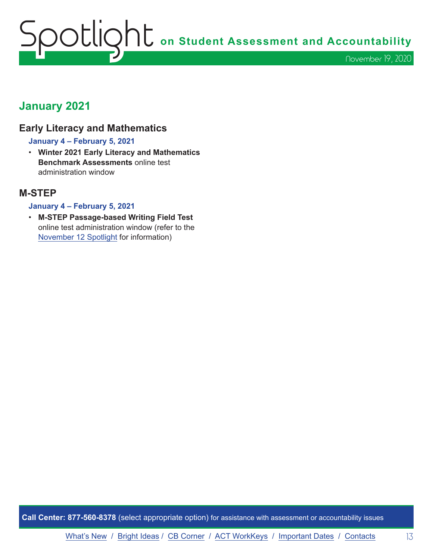## **January 2021**

## **Early Literacy and Mathematics**

#### **January 4 – February 5, 2021**

• **Winter 2021 Early Literacy and Mathematics Benchmark Assessments** online test administration window

## **M-STEP**

#### **January 4 – February 5, 2021**

• **M-STEP Passage-based Writing Field Test** online test administration window (refer to the [November 12 Spotlight](https://www.michigan.gov/documents/mde/Spotlight_11-12-20_707634_7.pdf) for information)